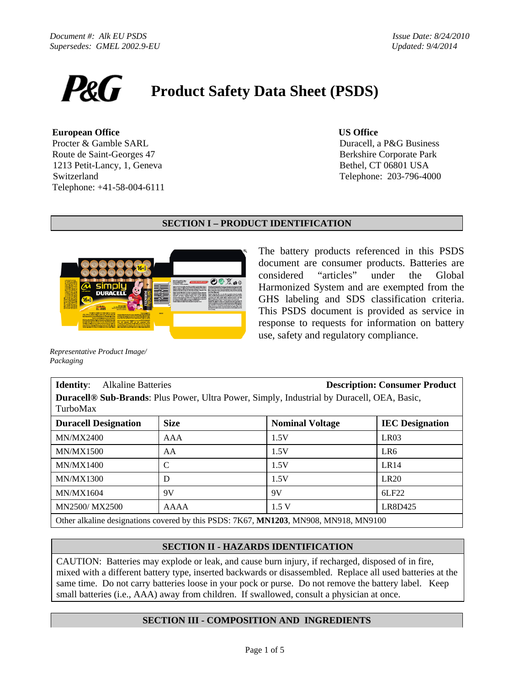

#### **European Office US Office**

 Procter & Gamble SARL Route de Saint-Georges 47 1213 Petit-Lancy, 1, Geneva Switzerland Telephone: +41-58-004-6111

Duracell, a P&G Business Berkshire Corporate Park Bethel, CT 06801 USA Telephone: 203-796-4000

# **SECTION I – PRODUCT IDENTIFICATION**



The battery products referenced in this PSDS document are consumer products. Batteries are considered "articles" under the Global Harmonized System and are exempted from the GHS labeling and SDS classification criteria. This PSDS document is provided as service in response to requests for information on battery use, safety and regulatory compliance.

*Representative Product Image/ Packaging* 

#### **Identity**:Alkaline Batteries **Description: Consumer Product Duracell® Sub-Brands**: Plus Power, Ultra Power, Simply, Industrial by Duracell, OEA, Basic, TurboMax

| <b>Duracell Designation</b>                                                          | <b>Size</b> | <b>Nominal Voltage</b> | <b>IEC</b> Designation |  |  |
|--------------------------------------------------------------------------------------|-------------|------------------------|------------------------|--|--|
| <b>MN/MX2400</b>                                                                     | AAA         | 1.5V                   | LR03                   |  |  |
| <b>MN/MX1500</b>                                                                     | AA          | 1.5V                   | LR <sub>6</sub>        |  |  |
| MN/MX1400                                                                            |             | 1.5V                   | LR14                   |  |  |
| <b>MN/MX1300</b>                                                                     | D           | 1.5V                   | LR20                   |  |  |
| <b>MN/MX1604</b>                                                                     | 9V          | 9V                     | 6LF22                  |  |  |
| MN2500/MX2500                                                                        | AAAA        | 1.5V                   | LR8D425                |  |  |
| Other alkaline designations covered by this PSDS: 7K67, MN1203, MN908, MN918, MN9100 |             |                        |                        |  |  |

# **SECTION II - HAZARDS IDENTIFICATION**

CAUTION: Batteries may explode or leak, and cause burn injury, if recharged, disposed of in fire, mixed with a different battery type, inserted backwards or disassembled. Replace all used batteries at the same time. Do not carry batteries loose in your pock or purse. Do not remove the battery label. Keep small batteries (i.e., AAA) away from children. If swallowed, consult a physician at once.

# **SECTION III - COMPOSITION AND INGREDIENTS**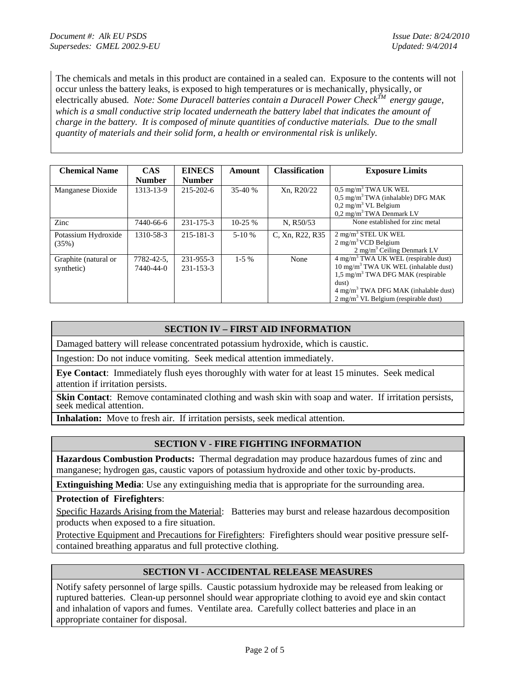The chemicals and metals in this product are contained in a sealed can. Exposure to the contents will not occur unless the battery leaks, is exposed to high temperatures or is mechanically, physically, or electrically abused. Note: Some Duracell batteries contain a Duracell Power Check<sup>TM</sup> energy gauge, *which is a small conductive strip located underneath the battery label that indicates the amount of charge in the battery. It is composed of minute quantities of conductive materials. Due to the small quantity of materials and their solid form, a health or environmental risk is unlikely.* 

| <b>Chemical Name</b>               | <b>CAS</b><br><b>Number</b> | <b>EINECS</b><br><b>Number</b> | Amount    | <b>Classification</b> | <b>Exposure Limits</b>                                                                                                                                                                                                                                                |
|------------------------------------|-----------------------------|--------------------------------|-----------|-----------------------|-----------------------------------------------------------------------------------------------------------------------------------------------------------------------------------------------------------------------------------------------------------------------|
| Manganese Dioxide                  | 1313-13-9                   | $215 - 202 - 6$                | $35-40%$  | Xn, R20/22            | $0.5 \text{ mg/m}^3$ TWA UK WEL<br>$0.5 \text{ mg/m}^3$ TWA (inhalable) DFG MAK<br>$0,2$ mg/m <sup>3</sup> VL Belgium<br>$0,2$ mg/m <sup>3</sup> TWA Denmark LV                                                                                                       |
| Zinc                               | 7440-66-6                   | 231-175-3                      | $10-25%$  | N. R50/53             | None established for zinc metal                                                                                                                                                                                                                                       |
| Potassium Hydroxide<br>(35%)       | 1310-58-3                   | 215-181-3                      | $5-10%$   | C. Xn, R22, R35       | $2 \text{ mg/m}^3$ STEL UK WEL<br>$2 \text{ mg/m}^3$ VCD Belgium<br>$2 \text{ mg/m}^3$ Ceiling Denmark LV                                                                                                                                                             |
| Graphite (natural or<br>synthetic) | 7782-42-5,<br>7440-44-0     | 231-955-3<br>231-153-3         | $1 - 5\%$ | None                  | $4 \text{ mg/m}^3$ TWA UK WEL (respirable dust)<br>10 mg/m <sup>3</sup> TWA UK WEL (inhalable dust)<br>$1.5 \text{ mg/m}^3$ TWA DFG MAK (respirable<br>dust)<br>$4 \text{ mg/m}^3$ TWA DFG MAK (inhalable dust)<br>$2$ mg/m <sup>3</sup> VL Belgium (respirable dust) |

# **SECTION IV – FIRST AID INFORMATION**

Damaged battery will release concentrated potassium hydroxide, which is caustic.

Ingestion: Do not induce vomiting. Seek medical attention immediately.

**Eye Contact**: Immediately flush eyes thoroughly with water for at least 15 minutes. Seek medical attention if irritation persists.

**Skin Contact:** Remove contaminated clothing and wash skin with soap and water. If irritation persists, seek medical attention.

**Inhalation:** Move to fresh air. If irritation persists, seek medical attention.

# **SECTION V - FIRE FIGHTING INFORMATION**

**Hazardous Combustion Products:** Thermal degradation may produce hazardous fumes of zinc and manganese; hydrogen gas, caustic vapors of potassium hydroxide and other toxic by-products.

**Extinguishing Media**: Use any extinguishing media that is appropriate for the surrounding area.

**Protection of Firefighters**:

Specific Hazards Arising from the Material: Batteries may burst and release hazardous decomposition products when exposed to a fire situation.

Protective Equipment and Precautions for Firefighters: Firefighters should wear positive pressure selfcontained breathing apparatus and full protective clothing.

## **SECTION VI - ACCIDENTAL RELEASE MEASURES**

Notify safety personnel of large spills. Caustic potassium hydroxide may be released from leaking or ruptured batteries. Clean-up personnel should wear appropriate clothing to avoid eye and skin contact and inhalation of vapors and fumes. Ventilate area. Carefully collect batteries and place in an appropriate container for disposal.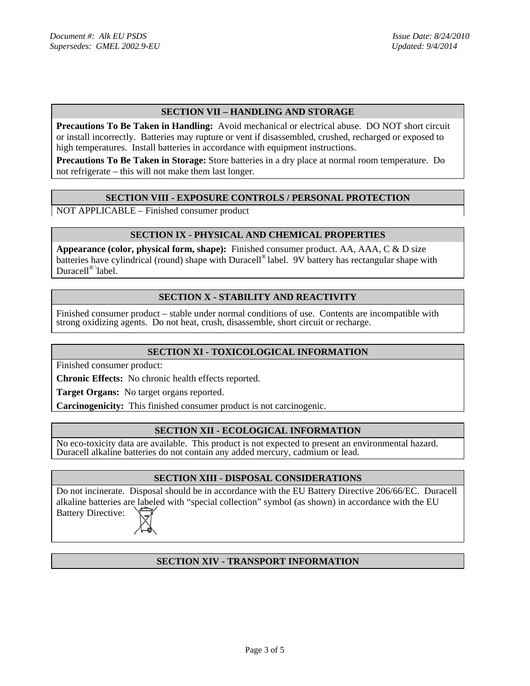# **SECTION VII – HANDLING AND STORAGE**

**Precautions To Be Taken in Handling:** Avoid mechanical or electrical abuse. DO NOT short circuit or install incorrectly. Batteries may rupture or vent if disassembled, crushed, recharged or exposed to high temperatures. Install batteries in accordance with equipment instructions.

**Precautions To Be Taken in Storage:** Store batteries in a dry place at normal room temperature. Do not refrigerate – this will not make them last longer.

## **SECTION VIII - EXPOSURE CONTROLS / PERSONAL PROTECTION**

NOT APPLICABLE – Finished consumer product

#### **SECTION IX - PHYSICAL AND CHEMICAL PROPERTIES**

**Appearance (color, physical form, shape):** Finished consumer product. AA, AAA, C & D size batteries have cylindrical (round) shape with Duracell<sup>®</sup> label. 9V battery has rectangular shape with Duracell<sup>®</sup> label.

# **SECTION X - STABILITY AND REACTIVITY**

Finished consumer product – stable under normal conditions of use. Contents are incompatible with strong oxidizing agents. Do not heat, crush, disassemble, short circuit or recharge.

## **SECTION XI - TOXICOLOGICAL INFORMATION**

Finished consumer product:

**Chronic Effects:** No chronic health effects reported.

**Target Organs:** No target organs reported.

**Carcinogenicity:** This finished consumer product is not carcinogenic.

## **SECTION XII - ECOLOGICAL INFORMATION**

No eco-toxicity data are available. This product is not expected to present an environmental hazard. Duracell alkaline batteries do not contain any added mercury, cadmium or lead.

#### **SECTION XIII - DISPOSAL CONSIDERATIONS**

Do not incinerate. Disposal should be in accordance with the EU Battery Directive 206/66/EC. Duracell alkaline batteries are labeled with "special collection" symbol (as shown) in accordance with the EU Battery Directive: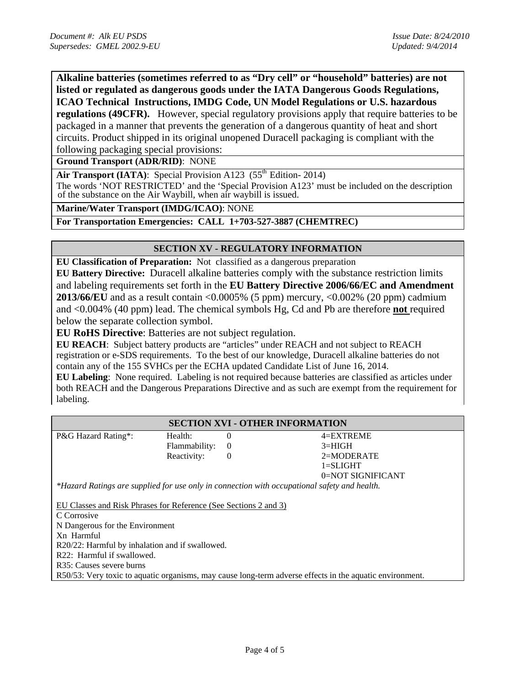**Alkaline batteries (sometimes referred to as "Dry cell" or "household" batteries) are not listed or regulated as dangerous goods under the IATA Dangerous Goods Regulations, ICAO Technical Instructions, IMDG Code, UN Model Regulations or U.S. hazardous regulations (49CFR).** However, special regulatory provisions apply that require batteries to be packaged in a manner that prevents the generation of a dangerous quantity of heat and short

circuits. Product shipped in its original unopened Duracell packaging is compliant with the following packaging special provisions:

**Ground Transport (ADR/RID)**: NONE

Air Transport (IATA): Special Provision A123 (55<sup>th</sup> Edition- 2014)

The words 'NOT RESTRICTED' and the 'Special Provision A123' must be included on the description of the substance on the Air Waybill, when air waybill is issued.

**Marine/Water Transport (IMDG/ICAO)**: NONE

**For Transportation Emergencies: CALL 1+703-527-3887 (CHEMTREC)**

## **SECTION XV - REGULATORY INFORMATION**

**EU Classification of Preparation:** Not classified as a dangerous preparation

**EU Battery Directive:** Duracell alkaline batteries comply with the substance restriction limits and labeling requirements set forth in the **EU Battery Directive 2006/66/EC and Amendment 2013/66/EU** and as a result contain <0.0005% (5 ppm) mercury, <0.002% (20 ppm) cadmium and <0.004% (40 ppm) lead. The chemical symbols Hg, Cd and Pb are therefore **not** required below the separate collection symbol.

**EU RoHS Directive**: Batteries are not subject regulation.

**EU REACH**: Subject battery products are "articles" under REACH and not subject to REACH registration or e-SDS requirements. To the best of our knowledge, Duracell alkaline batteries do not contain any of the 155 SVHCs per the ECHA updated Candidate List of June 16, 2014.

**EU Labeling**: None required. Labeling is not required because batteries are classified as articles under both REACH and the Dangerous Preparations Directive and as such are exempt from the requirement for labeling.

| <b>SECTION XVI - OTHER INFORMATION</b>                                                       |                 |  |                   |  |  |  |
|----------------------------------------------------------------------------------------------|-----------------|--|-------------------|--|--|--|
| P&G Hazard Rating*:                                                                          | Health:         |  | 4=EXTREME         |  |  |  |
|                                                                                              | Flammability: 0 |  | $3 = HIGH$        |  |  |  |
|                                                                                              | Reactivity:     |  | 2=MODERATE        |  |  |  |
|                                                                                              |                 |  | $l = SLIGHT$      |  |  |  |
|                                                                                              |                 |  | 0=NOT SIGNIFICANT |  |  |  |
| *Hazard Ratings are supplied for use only in connection with occupational safety and health. |                 |  |                   |  |  |  |

EU Classes and Risk Phrases for Reference (See Sections 2 and 3) C Corrosive N Dangerous for the Environment Xn Harmful R20/22: Harmful by inhalation and if swallowed. R22: Harmful if swallowed. R35: Causes severe burns R50/53: Very toxic to aquatic organisms, may cause long-term adverse effects in the aquatic environment.